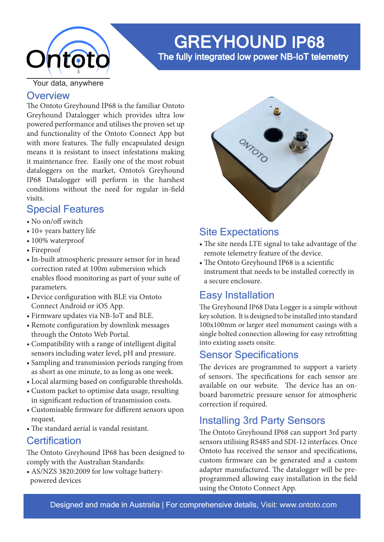

# GREYHOUND IP68

The fully integrated low power NB-IoT telemetry

Your data, anywhere

### **Overview**

The Ontoto Greyhound IP68 is the familiar Ontoto Greyhound Datalogger which provides ultra low powered performance and utilises the proven set up and functionality of the Ontoto Connect App but with more features. The fully encapsulated design means it is resistant to insect infestations making it maintenance free. Easily one of the most robust dataloggers on the market, Ontoto's Greyhound IP68 Datalogger will perform in the harshest conditions without the need for regular in-field visits.

# Special Features

- No on/off switch
- 10+ years battery life
- 100% waterproof
- Fireproof
- In-built atmospheric pressure sensor for in head correction rated at 100m submersion which enables flood monitoring as part of your suite of parameters.
- Device configuration with BLE via Ontoto Connect Android or iOS App.
- Firmware updates via NB-IoT and BLE.
- Remote configuration by downlink messages through the Ontoto Web Portal.
- Compatibility with a range of intelligent digital sensors including water level, pH and pressure.
- Sampling and transmission periods ranging from as short as one minute, to as long as one week.
- Local alarming based on configurable thresholds.
- Custom packet to optimise data usage, resulting in significant reduction of transmission costs.
- Customisable firmware for different sensors upon request.
- The standard aerial is vandal resistant.

### **Certification**

The Ontoto Greyhound IP68 has been designed to comply with the Australian Standards:

• AS/NZS 3820:2009 for low voltage battery powered devices



# Site Expectations

- The site needs LTE signal to take advantage of the remote telemetry feature of the device.
- The Ontoto Greyhound IP68 is a scientific instrument that needs to be installed correctly in a secure enclosure.

# Easy Installation

The Greyhound IP68 Data Logger is a simple without key solution. It is designed to be installed into standard 100x100mm or larger steel monument casings with a single bolted connection allowing for easy retrofitting into existing assets onsite.

### Sensor Specifications

The devices are programmed to support a variety of sensors. The specifications for each sensor are available on our website. The device has an onboard barometric pressure sensor for atmospheric correction if required.

# Installing 3rd Party Sensors

The Ontoto Greyhound IP68 can support 3rd party sensors utilising RS485 and SDI-12 interfaces. Once Ontoto has received the sensor and specifications, custom firmware can be generated and a custom adapter manufactured. The datalogger will be preprogrammed allowing easy installation in the field using the Ontoto Connect App.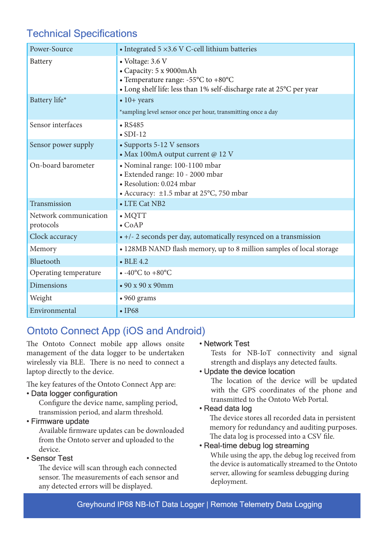# Technical Specifications

| Power-Source                       | • Integrated $5 \times 3.6$ V C-cell lithium batteries                                                                                                                         |
|------------------------------------|--------------------------------------------------------------------------------------------------------------------------------------------------------------------------------|
| Battery                            | • Voltage: 3.6 V<br>• Capacity: 5 x 9000mAh<br>• Temperature range: $-55^{\circ}$ C to $+80^{\circ}$ C<br>• Long shelf life: less than 1% self-discharge rate at 25°C per year |
| Battery life*                      | $\bullet$ 10+ years<br>*sampling level sensor once per hour, transmitting once a day                                                                                           |
| Sensor interfaces                  | $\cdot$ RS485<br>$\bullet$ SDI-12                                                                                                                                              |
| Sensor power supply                | • Supports 5-12 V sensors<br>- Max 100mA output current @ 12 V                                                                                                                 |
| On-board barometer                 | • Nominal range: 100-1100 mbar<br>· Extended range: 10 - 2000 mbar<br>• Resolution: 0.024 mbar<br>• Accuracy: ±1.5 mbar at 25°C, 750 mbar                                      |
| Transmission                       | • LTE Cat NB2                                                                                                                                                                  |
| Network communication<br>protocols | $\bullet$ MQTT<br>$\bullet$ CoAP                                                                                                                                               |
| Clock accuracy                     | • +/- 2 seconds per day, automatically resynced on a transmission                                                                                                              |
| Memory                             | • 128MB NAND flash memory, up to 8 million samples of local storage                                                                                                            |
| Bluetooth                          | $\bullet$ BLE 4.2                                                                                                                                                              |
| Operating temperature              | $\bullet$ -40°C to +80°C                                                                                                                                                       |
| <b>Dimensions</b>                  | $\cdot$ 90 x 90 x 90mm                                                                                                                                                         |
| Weight                             | $\cdot$ 960 grams                                                                                                                                                              |
| Environmental                      | $\cdot$ IP68                                                                                                                                                                   |

# Ontoto Connect App (iOS and Android)

The Ontoto Connect mobile app allows onsite management of the data logger to be undertaken wirelessly via BLE. There is no need to connect a laptop directly to the device.

The key features of the Ontoto Connect App are:

#### • Data logger configuration

 Configure the device name, sampling period, transmission period, and alarm threshold.

#### • Firmware update

 Available firmware updates can be downloaded from the Ontoto server and uploaded to the device.

#### • Sensor Test

 The device will scan through each connected sensor. The measurements of each sensor and any detected errors will be displayed.

#### • Network Test

Tests for NB-IoT connectivity and signal strength and displays any detected faults.

#### • Update the device location

The location of the device will be updated with the GPS coordinates of the phone and transmitted to the Ontoto Web Portal.

#### • Read data log

 The device stores all recorded data in persistent memory for redundancy and auditing purposes. The data log is processed into a CSV file.

#### • Real-time debug log streaming

 While using the app, the debug log received from the device is automatically streamed to the Ontoto server, allowing for seamless debugging during deployment.